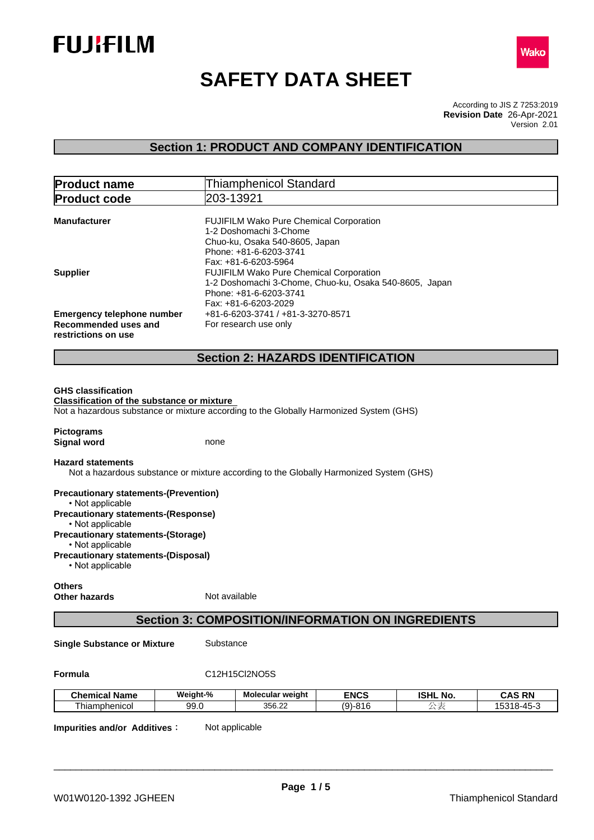



# **SAFETY DATA SHEET**

According to JIS Z 7253:2019 Version 2.01 **Revision Date** 26-Apr-2021

# **Section 1: PRODUCT AND COMPANY IDENTIFICATION**

|                                                                                  | <b>Thiamphenicol Standard</b>                                                                                                                                                      |
|----------------------------------------------------------------------------------|------------------------------------------------------------------------------------------------------------------------------------------------------------------------------------|
| <b>Product code</b>                                                              | 203-13921                                                                                                                                                                          |
| <b>Manufacturer</b>                                                              | <b>FUJIFILM Wako Pure Chemical Corporation</b><br>1-2 Doshomachi 3-Chome<br>Chuo-ku, Osaka 540-8605, Japan<br>Phone: +81-6-6203-3741                                               |
| <b>Supplier</b>                                                                  | Fax: +81-6-6203-5964<br><b>FUJIFILM Wako Pure Chemical Corporation</b><br>1-2 Doshomachi 3-Chome, Chuo-ku, Osaka 540-8605, Japan<br>Phone: +81-6-6203-3741<br>Fax: +81-6-6203-2029 |
| <b>Emergency telephone number</b><br>Recommended uses and<br>restrictions on use | +81-6-6203-3741 / +81-3-3270-8571<br>For research use only                                                                                                                         |
|                                                                                  |                                                                                                                                                                                    |
|                                                                                  | <b>Section 2: HAZARDS IDENTIFICATION</b>                                                                                                                                           |
| <b>GHS classification</b><br>Classification of the substance or mixture          | Not a hazardous substance or mixture according to the Globally Harmonized System (GHS)                                                                                             |
| <b>Pictograms</b><br><b>Signal word</b>                                          | none                                                                                                                                                                               |
| <b>Hazard statements</b>                                                         | Not a hazardous substance or mixture according to the Globally Harmonized System (GHS)                                                                                             |

**Others Other hazards** Not available

# **Section 3: COMPOSITION/INFORMATION ON INGREDIENTS**

**Single Substance or Mixture** Substance

### **Formula** C12H15Cl2NO5S

| .<br>Chemical Name | .<br><b>Neight-%</b> | <b>Molecular weight</b> | <b>ENCS</b>                          | <b>ISHL</b><br>NO. | <b>RN</b><br>CAS    |
|--------------------|----------------------|-------------------------|--------------------------------------|--------------------|---------------------|
| l hiamphenicol     | 99.0                 | $\sim$<br>356.22        | $\sqrt{2}$<br>04C<br>◡<br>-<br>טונטי |                    | ~-<br>╮<br>⊤ບ<br>ັບ |

**Impurities and/or Additives:** Not applicable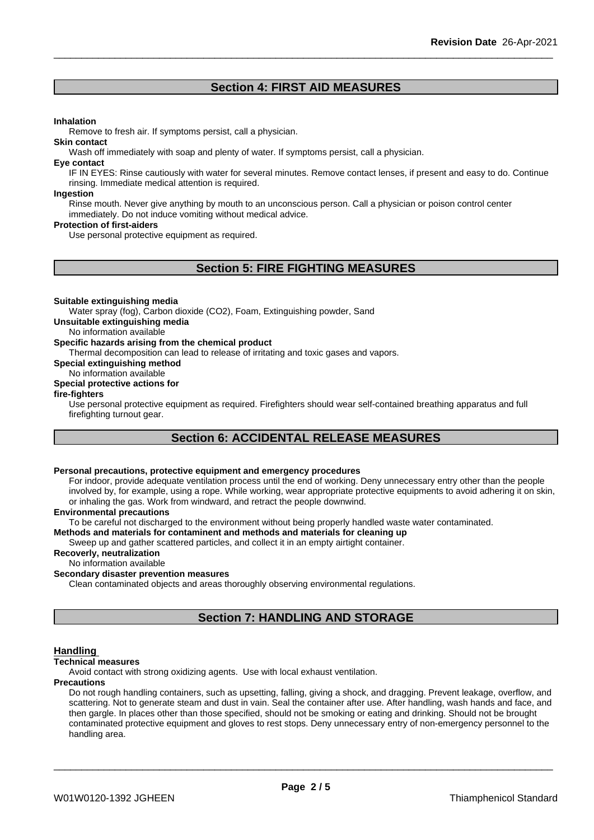# **Section 4: FIRST AID MEASURES**

#### **Inhalation**

Remove to fresh air. If symptoms persist, call a physician.

#### **Skin contact**

Wash off immediately with soap and plenty of water. If symptoms persist, call a physician.

#### **Eye contact**

IF IN EYES: Rinse cautiously with water for several minutes. Remove contact lenses, if present and easy to do. Continue rinsing. Immediate medical attention is required.

#### **Ingestion**

Rinse mouth. Never give anything by mouth to an unconscious person. Call a physician or poison control center immediately. Do not induce vomiting without medical advice.

#### **Protection of first-aiders**

Use personal protective equipment as required.

# **Section 5: FIRE FIGHTING MEASURES**

#### **Suitable extinguishing media**

Water spray (fog), Carbon dioxide (CO2), Foam, Extinguishing powder, Sand

**Unsuitable extinguishing media**

No information available

#### **Specific hazards arising from the chemical product**

Thermal decomposition can lead to release of irritating and toxic gases and vapors.

**Special extinguishing method**

#### No information available **Special protective actions for**

**fire-fighters**

Use personal protective equipment as required.Firefighters should wear self-contained breathing apparatus and full firefighting turnout gear.

# **Section 6: ACCIDENTAL RELEASE MEASURES**

# **Personal precautions, protective equipment and emergency procedures**

For indoor, provide adequate ventilation process until the end of working. Deny unnecessary entry other than the people involved by, for example, using a rope. While working, wear appropriate protective equipments to avoid adhering it on skin, or inhaling the gas. Work from windward, and retract the people downwind.

#### **Environmental precautions**

To be careful not discharged to the environment without being properly handled waste water contaminated.

#### **Methods and materials for contaminent and methods and materials for cleaning up**

Sweep up and gather scattered particles, and collect it in an empty airtight container.

#### **Recoverly, neutralization**

No information available

### **Secondary disaster prevention measures**

Clean contaminated objects and areas thoroughly observing environmental regulations.

# **Section 7: HANDLING AND STORAGE**

#### **Handling**

#### **Technical measures**

Avoid contact with strong oxidizing agents. Use with local exhaust ventilation.

#### **Precautions**

Do not rough handling containers, such as upsetting, falling, giving a shock, and dragging. Prevent leakage, overflow, and scattering. Not to generate steam and dust in vain. Seal the container after use. After handling, wash hands and face, and then gargle. In places other than those specified, should not be smoking or eating and drinking. Should not be brought contaminated protective equipment and gloves to rest stops. Deny unnecessary entry of non-emergency personnel to the handling area.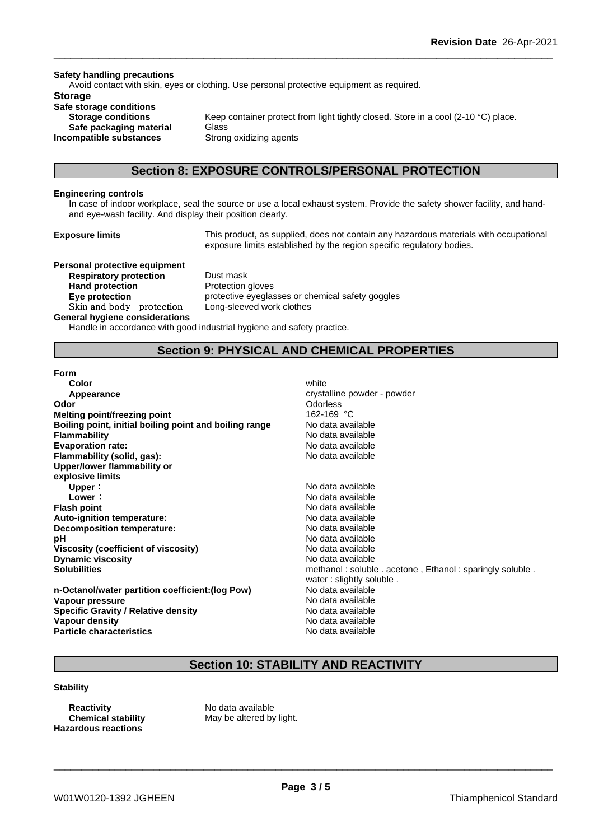#### **Safety handling precautions**

Avoid contact with skin, eyes or clothing. Use personal protective equipment as required.

# **Storage**

**Safe storage conditions Safe packaging material** Glass **Incompatible substances** Strong oxidizing agents

**Storage conditions** Keep container protect from light tightly closed. Store in a cool (2-10 °C) place.

## **Section 8: EXPOSURE CONTROLS/PERSONAL PROTECTION**

#### **Engineering controls**

In case of indoor workplace, seal the source or use a local exhaust system. Provide the safety shower facility, and handand eye-wash facility. And display their position clearly.

**Exposure limits** This product, as supplied, does not contain any hazardous materials with occupational exposure limits established by the region specific regulatory bodies.

**Personal protective equipment Respiratory protection** Dust mask Hand protection **Protection Protection** gloves **Skinandbody protection** Long-sleeved work clothes

**Eye protection protective eyeglasses or chemical safety goggles** 

#### **General hygiene considerations**

Handle in accordance with good industrial hygiene and safety practice.

# **Section 9: PHYSICAL AND CHEMICAL PROPERTIES**

#### **Form**

| Color                                                  | white                                                    |
|--------------------------------------------------------|----------------------------------------------------------|
| Appearance                                             | crystalline powder - powder                              |
| Odor                                                   | <b>Odorless</b>                                          |
| <b>Melting point/freezing point</b>                    | 162-169 °C                                               |
| Boiling point, initial boiling point and boiling range | No data available                                        |
| <b>Flammability</b>                                    | No data available                                        |
| <b>Evaporation rate:</b>                               | No data available                                        |
| Flammability (solid, gas):                             | No data available                                        |
| Upper/lower flammability or                            |                                                          |
| explosive limits                                       |                                                          |
| Upper:                                                 | No data available                                        |
| Lower:                                                 | No data available                                        |
| <b>Flash point</b>                                     | No data available                                        |
| <b>Auto-ignition temperature:</b>                      | No data available                                        |
| Decomposition temperature:                             | No data available                                        |
| рH                                                     | No data available                                        |
| Viscosity (coefficient of viscosity)                   | No data available                                        |
| <b>Dynamic viscosity</b>                               | No data available                                        |
| <b>Solubilities</b>                                    | methanol: soluble . acetone, Ethanol: sparingly soluble. |
|                                                        | water: slightly soluble.                                 |
| n-Octanol/water partition coefficient: (log Pow)       | No data available                                        |
| Vapour pressure                                        | No data available                                        |
| <b>Specific Gravity / Relative density</b>             | No data available                                        |
| Vapour density                                         | No data available                                        |
| <b>Particle characteristics</b>                        | No data available                                        |

# **Section 10: STABILITY AND REACTIVITY**

### **Stability**

**Reactivity** No data available **Hazardous reactions**

**Chemical stability** May be altered by light.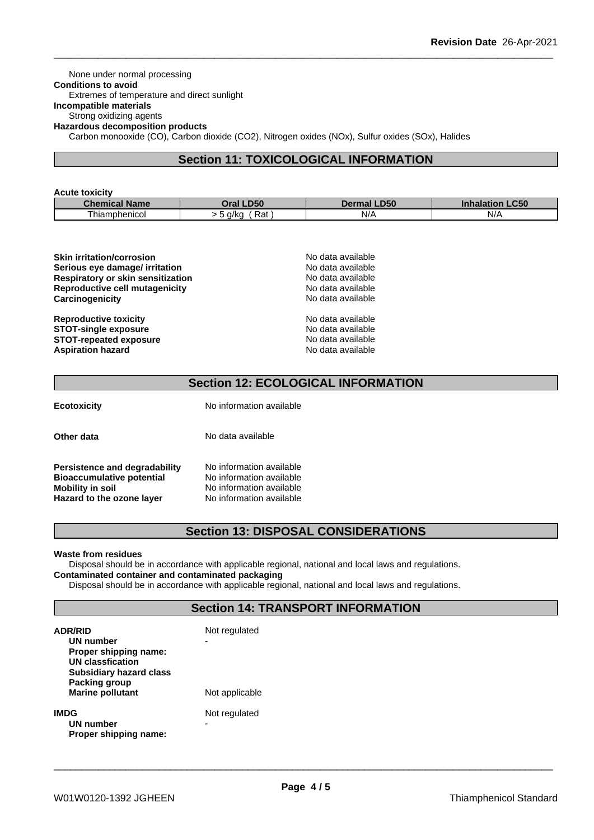None under normal processing **Conditions to avoid** Extremes of temperature and direct sunlight **Incompatible materials** Strong oxidizing agents **Hazardous decomposition products** Carbon monooxide (CO), Carbon dioxide (CO2), Nitrogen oxides (NOx), Sulfur oxides (SOx), Halides

# **Section 11: TOXICOLOGICAL INFORMATION**

#### **Acute toxicity**

| .<br>--<br><b>Name</b><br>Chemical | <b>LD50</b><br>Oral                            | <b>_D50</b><br>Derr<br>rmal | $\sim$ $\sim$ $\sim$<br>Inhalation<br>.uju |
|------------------------------------|------------------------------------------------|-----------------------------|--------------------------------------------|
| l hiamphenicol                     | $\overline{\phantom{a}}$<br>੨at<br>a/ko<br>. . | N/t<br><b>11</b>            | N/r                                        |

| No data available |  |
|-------------------|--|
| No data available |  |
| No data available |  |
| No data available |  |
| No data available |  |
| No data available |  |
| No data available |  |
| No data available |  |
| No data available |  |
|                   |  |

# **Section 12: ECOLOGICAL INFORMATION**

| <b>Ecotoxicity</b>                                                                                                        | No information available                                                                                     |
|---------------------------------------------------------------------------------------------------------------------------|--------------------------------------------------------------------------------------------------------------|
| Other data                                                                                                                | No data available                                                                                            |
| Persistence and degradability<br><b>Bioaccumulative potential</b><br>Mobility in soil<br><b>Hazard to the ozone layer</b> | No information available<br>No information available<br>No information available<br>No information available |

# **Section 13: DISPOSAL CONSIDERATIONS**

#### **Waste from residues**

Disposal should be in accordance with applicable regional, national and local laws and regulations. **Contaminated container and contaminated packaging**

Disposal should be in accordance with applicable regional, national and local laws and regulations.

# **Section 14: TRANSPORT INFORMATION**

| <b>ADR/RID</b><br>UN number<br>Proper shipping name:<br>UN classfication<br><b>Subsidiary hazard class</b> | Not regulated      |
|------------------------------------------------------------------------------------------------------------|--------------------|
| Packing group<br><b>Marine pollutant</b>                                                                   | Not applicable     |
| <b>IMDG</b><br>UN number<br>Proper shipping name:                                                          | Not regulated<br>- |